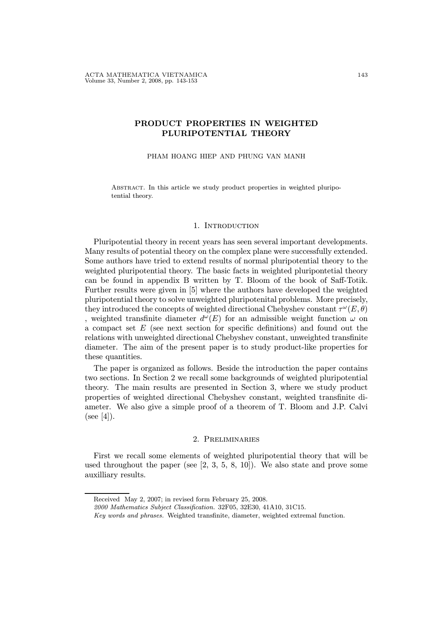# PRODUCT PROPERTIES IN WEIGHTED PLURIPOTENTIAL THEORY

PHAM HOANG HIEP AND PHUNG VAN MANH

ABSTRACT. In this article we study product properties in weighted pluripotential theory.

#### 1. INTRODUCTION

Pluripotential theory in recent years has seen several important developments. Many results of potential theory on the complex plane were successfully extended. Some authors have tried to extend results of normal pluripotential theory to the weighted pluripotential theory. The basic facts in weighted pluripontetial theory can be found in appendix B written by T. Bloom of the book of Saff-Totik. Further results were given in [5] where the authors have developed the weighted pluripotential theory to solve unweighted pluripotenital problems. More precisely, they introduced the concepts of weighted directional Chebyshev constant  $\tau^{\omega}(E, \theta)$ , weighted transfinite diameter  $d^{\omega}(E)$  for an admissible weight function  $\omega$  on a compact set  $E$  (see next section for specific definitions) and found out the relations with unweighted directional Chebyshev constant, unweighted transfinite diameter. The aim of the present paper is to study product-like properties for these quantities.

The paper is organized as follows. Beside the introduction the paper contains two sections. In Section 2 we recall some backgrounds of weighted pluripotential theory. The main results are presented in Section 3, where we study product properties of weighted directional Chebyshev constant, weighted transfinite diameter. We also give a simple proof of a theorem of T. Bloom and J.P. Calvi  $(see [4]).$ 

## 2. Preliminaries

First we recall some elements of weighted pluripotential theory that will be used throughout the paper (see  $[2, 3, 5, 8, 10]$ ). We also state and prove some auxilliary results.

Received May 2, 2007; in revised form February 25, 2008.

<sup>2000</sup> Mathematics Subject Classification. 32F05, 32E30, 41A10, 31C15.

Key words and phrases. Weighted transfinite, diameter, weighted extremal function.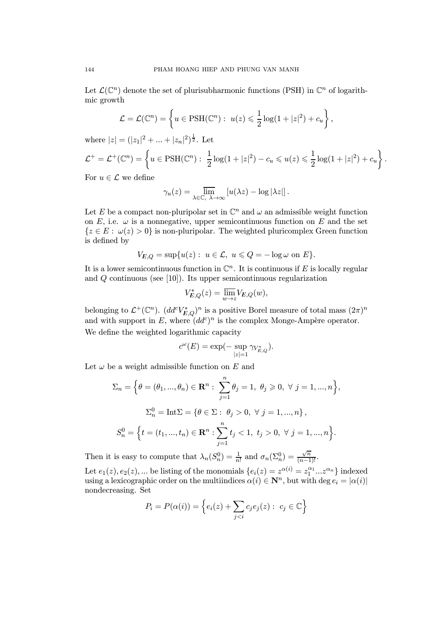Let  $\mathcal{L}(\mathbb{C}^n)$  denote the set of plurisubharmonic functions (PSH) in  $\mathbb{C}^n$  of logarithmic growth

$$
\mathcal{L} = \mathcal{L}(\mathbb{C}^n) = \left\{ u \in \text{PSH}(\mathbb{C}^n) : u(z) \leqslant \frac{1}{2} \log(1 + |z|^2) + c_u \right\},\,
$$

where  $|z| = (|z_1|^2 + ... + |z_n|^2)^{\frac{1}{2}}$ . Let

$$
\mathcal{L}^+ = \mathcal{L}^+(\mathbb{C}^n) = \left\{ u \in \text{PSH}(\mathbb{C}^n) : \ \frac{1}{2} \log(1+|z|^2) - c_u \leqslant u(z) \leqslant \frac{1}{2} \log(1+|z|^2) + c_u \right\}.
$$

For  $u \in \mathcal{L}$  we define

$$
\gamma_u(z) = \overline{\lim}_{\lambda \in \mathbb{C}, \ \lambda \to \infty} \left[ u(\lambda z) - \log |\lambda z| \right].
$$

Let E be a compact non-pluripolar set in  $\mathbb{C}^n$  and  $\omega$  an admissible weight function on E, i.e.  $\omega$  is a nonnegative, upper semicontinuous function on E and the set  ${z \in E : \omega(z) > 0}$  is non-pluripolar. The weighted pluricomplex Green function is defined by

$$
V_{E,Q} = \sup \{ u(z) : u \in \mathcal{L}, u \leq Q = -\log \omega \text{ on } E \}.
$$

It is a lower semicontinuous function in  $\mathbb{C}^n$ . It is continuous if E is locally regular and  $Q$  continuous (see [10]). Its upper semicontinuous regularization

$$
V_{E,Q}^*(z) = \overline{\lim_{w \to z}} V_{E,Q}(w),
$$

belonging to  $\mathcal{L}^+(\mathbb{C}^n)$ .  $(dd^c V_{E,Q}^*)^n$  is a positive Borel measure of total mass  $(2\pi)^n$ and with support in E, where  $(dd^c)^n$  is the complex Monge-Ampère operator. We define the weighted logarithmic capacity

$$
c^{\omega}(E)=\exp(-\sup_{|z|=1}\gamma_{V_{E,Q}^*}).
$$

Let  $\omega$  be a weight admissible function on E and

$$
\Sigma_n = \Big\{\theta = (\theta_1, ..., \theta_n) \in \mathbb{R}^n : \sum_{j=1}^n \theta_j = 1, \ \theta_j \ge 0, \ \forall \ j = 1, ..., n\Big\},\
$$
  

$$
\Sigma_n^0 = \text{Int}\Sigma = \{\theta \in \Sigma : \ \theta_j > 0, \ \forall \ j = 1, ..., n\},\
$$
  

$$
S_n^0 = \Big\{t = (t_1, ..., t_n) \in \mathbb{R}^n : \sum_{j=1}^n t_j < 1, \ t_j > 0, \ \forall \ j = 1, ..., n\Big\}.
$$

Then it is easy to compute that  $\lambda_n(S_n^0) = \frac{1}{n!}$  and  $\sigma_n(\Sigma_n^0) = \frac{\sqrt{n}}{(n-1)!}$ .

Let  $e_1(z)$ ,  $e_2(z)$ , ... be listing of the monomials  $\{e_i(z) = z^{\alpha(i)} = z_1^{\alpha_1}...z^{\alpha_n}\}\$  indexed using a lexicographic order on the multiindices  $\alpha(i) \in \mathbb{N}^n$ , but with deg  $e_i = |\alpha(i)|$ nondecreasing. Set

$$
P_i = P(\alpha(i)) = \left\{ e_i(z) + \sum_{j < i} c_j e_j(z) : \ c_j \in \mathbb{C} \right\}
$$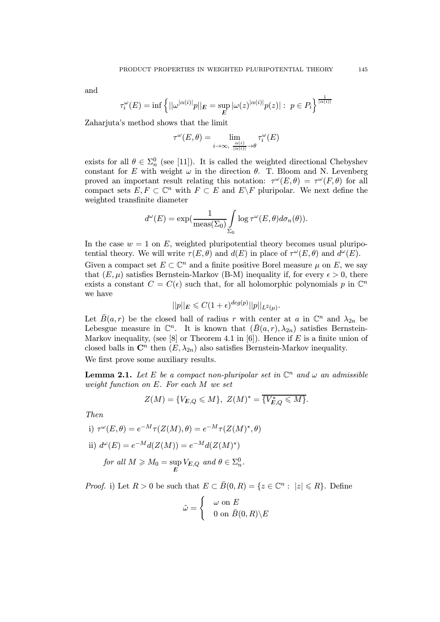and

$$
\tau_i^{\omega}(E) = \inf \left\{ ||\omega^{|\alpha(i)|}p||_E = \sup_E |\omega(z)|^{\alpha(i)|} p(z)| : \ p \in P_i \right\}^{\frac{1}{|\alpha(i)|}}
$$

Zaharjuta's method shows that the limit

$$
\tau^\omega(E,\theta)=\lim_{i\to\infty,\ \frac{\alpha(i)}{|\alpha(i)|}\to\theta}\tau_i^\omega(E)
$$

exists for all  $\theta \in \Sigma_n^0$  (see [11]). It is called the weighted directional Chebyshev constant for E with weight  $\omega$  in the direction  $\theta$ . T. Bloom and N. Levenberg proved an important result relating this notation:  $\tau^{\omega}(E,\theta) = \tau^{\omega}(F,\theta)$  for all compact sets  $E, F \subset \mathbb{C}^n$  with  $F \subset E$  and  $E \backslash F$  pluripolar. We next define the weighted transfinite diameter

$$
d^{\omega}(E) = \exp(\frac{1}{\text{meas}(\Sigma_0)} \int_{\Sigma_0} \log \tau^{\omega}(E, \theta) d\sigma_n(\theta)).
$$

In the case  $w = 1$  on E, weighted pluripotential theory becomes usual pluripotential theory. We will write  $\tau(E, \theta)$  and  $d(E)$  in place of  $\tau^{\omega}(E, \theta)$  and  $d^{\omega}(E)$ .

Given a compact set  $E \subset \mathbb{C}^n$  and a finite positive Borel measure  $\mu$  on E, we say that  $(E, \mu)$  satisfies Bernstein-Markov (B-M) inequality if, for every  $\epsilon > 0$ , there exists a constant  $C = C(\epsilon)$  such that, for all holomorphic polynomials p in  $\mathbb{C}^n$ we have

$$
||p||_E \leqslant C(1+\epsilon)^{deg(p)}||p||_{L^2(\mu)}.
$$

Let  $\bar{B}(a, r)$  be the closed ball of radius r with center at a in  $\mathbb{C}^n$  and  $\lambda_{2n}$  be Lebesgue measure in  $\mathbb{C}^n$ . It is known that  $(\bar{B}(a, r), \lambda_{2n})$  satisfies Bernstein-Markov inequality, (see [8] or Theorem 4.1 in [6]). Hence if E is a finite union of closed balls in  $\mathbb{C}^n$  then  $(E, \lambda_{2n})$  also satisfies Bernstein-Markov inequality. We first prove some auxiliary results.

**Lemma 2.1.** Let E be a compact non-pluripolar set in  $\mathbb{C}^n$  and  $\omega$  an admissible weight function on E. For each M we set

$$
Z(M) = \{V_{E,Q} \leqslant M\}, \ Z(M)^* = \overline{\{V_{E,Q}^* \leqslant M\}}.
$$

Then

i) 
$$
\tau^{\omega}(E, \theta) = e^{-M} \tau(Z(M), \theta) = e^{-M} \tau(Z(M)^*, \theta)
$$
  
\nii)  $d^{\omega}(E) = e^{-M} d(Z(M)) = e^{-M} d(Z(M)^*)$   
\nfor all  $M \ge M_0 = \sup_E V_{E,Q}$  and  $\theta \in \Sigma_n^0$ .

*Proof.* i) Let  $R > 0$  be such that  $E \subset \overline{B}(0,R) = \{z \in \mathbb{C}^n : |z| \leq R\}$ . Define

$$
\tilde{\omega} = \begin{cases} & \omega \text{ on } E \\ & 0 \text{ on } \bar{B}(0,R) \backslash E \end{cases}
$$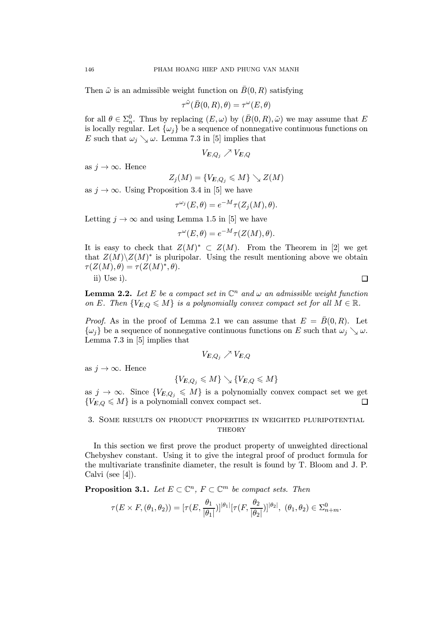Then  $\tilde{\omega}$  is an admissible weight function on  $\bar{B}(0, R)$  satisfying

$$
\tau^{\tilde{\omega}}(\bar{B}(0,R),\theta)=\tau^{\omega}(E,\theta)
$$

for all  $\theta \in \Sigma_n^0$ . Thus by replacing  $(E, \omega)$  by  $(\bar{B}(0, R), \tilde{\omega})$  we may assume that E is locally regular. Let  $\{\omega_i\}$  be a sequence of nonnegative continuous functions on E such that  $\omega_j \searrow \omega$ . Lemma 7.3 in [5] implies that

$$
V_{E,Q_j}\nearrow V_{E,Q}
$$

as  $j \to \infty$ . Hence

$$
Z_j(M)=\{V_{E,Q_j}\leqslant M\}\searrow Z(M)
$$

as  $j \to \infty$ . Using Proposition 3.4 in [5] we have

$$
\tau^{\omega_j}(E,\theta) = e^{-M} \tau(Z_j(M),\theta).
$$

Letting  $j \to \infty$  and using Lemma 1.5 in [5] we have

$$
\tau^{\omega}(E,\theta) = e^{-M}\tau(Z(M),\theta).
$$

It is easy to check that  $Z(M)^* \subset Z(M)$ . From the Theorem in [2] we get that  $Z(M)\backslash Z(M)^*$  is pluripolar. Using the result mentioning above we obtain  $\tau(Z(M), \theta) = \tau(Z(M)^*, \theta).$ 

ii) Use i).

**Lemma 2.2.** Let E be a compact set in  $\mathbb{C}^n$  and  $\omega$  an admissible weight function on E. Then  ${V_{E,Q} \leqslant M}$  is a polynomially convex compact set for all  $M \in \mathbb{R}$ .

*Proof.* As in the proof of Lemma 2.1 we can assume that  $E = \overline{B}(0,R)$ . Let  $\{\omega_i\}$  be a sequence of nonnegative continuous functions on E such that  $\omega_i \searrow \omega$ . Lemma 7.3 in [5] implies that

$$
V_{E,Q_j}\nearrow V_{E,Q}
$$

as  $i \to \infty$ . Hence

$$
\{V_{E,Q_j}\leqslant M\}\searrow \{V_{E,Q}\leqslant M\}
$$

as  $j \to \infty$ . Since  $\{V_{E,Q_j} \leqslant M\}$  is a polynomially convex compact set we get  $\{V_{E,Q} \leqslant M\}$  is a polynomiall convex compact set.  ${V_{E,Q} \leqslant M}$  is a polynomiall convex compact set.

## 3. Some results on product properties in weighted pluripotential **THEORY**

In this section we first prove the product property of unweighted directional Chebyshev constant. Using it to give the integral proof of product formula for the multivariate transfinite diameter, the result is found by T. Bloom and J. P. Calvi (see [4]).

**Proposition 3.1.** Let  $E \subset \mathbb{C}^n$ ,  $F \subset \mathbb{C}^m$  be compact sets. Then  $\tau(E \times F, (\theta_1, \theta_2)) = [\tau(E, \frac{\theta_1}{|\theta_1|}]$  $||\theta_1||_{\mathcal{T}}(F, \frac{\theta_2}{\sqrt{2}})$  $|\theta_2|$  $[|\theta_2|, (\theta_1, \theta_2) \in \Sigma_{n+m}^0$ .  $\Box$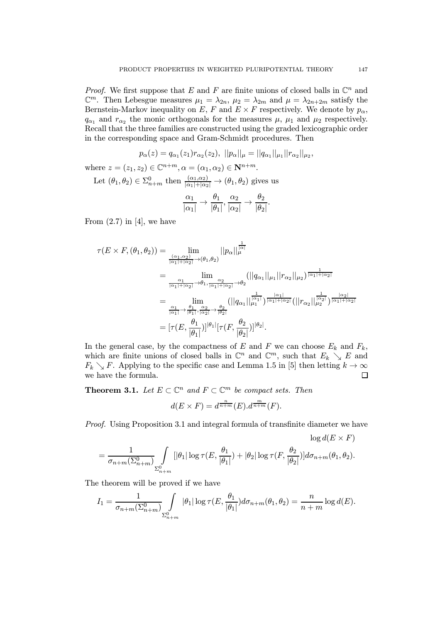*Proof.* We first suppose that E and F are finite unions of closed balls in  $\mathbb{C}^n$  and  $\mathbb{C}^m$ . Then Lebesgue measures  $\mu_1 = \lambda_{2n}$ ,  $\mu_2 = \lambda_{2m}$  and  $\mu = \lambda_{2n+2m}$  satisfy the Bernstein-Markov inequality on E, F and  $E \times F$  respectively. We denote by  $p_{\alpha}$ ,  $q_{\alpha_1}$  and  $r_{\alpha_2}$  the monic orthogonals for the measures  $\mu$ ,  $\mu_1$  and  $\mu_2$  respectively. Recall that the three families are constructed using the graded lexicographic order in the corresponding space and Gram-Schmidt procedures. Then

$$
p_{\alpha}(z) = q_{\alpha_1}(z_1) r_{\alpha_2}(z_2), \ ||p_{\alpha}||_{\mu} = ||q_{\alpha_1}||_{\mu_1} ||r_{\alpha_2}||_{\mu_2},
$$
  
where  $z = (z_1, z_2) \in \mathbb{C}^{n+m}$ ,  $\alpha = (\alpha_1, \alpha_2) \in \mathbb{N}^{n+m}$ .  
Let  $(\theta_1, \theta_2) \in \Sigma^0_{n+m}$  then  $\frac{(\alpha_1, \alpha_2)}{|\alpha_1| + |\alpha_2|} \to (\theta_1, \theta_2)$  gives us  

$$
\frac{\alpha_1}{|\alpha_1|} \to \frac{\theta_1}{|\alpha_1|}, \frac{\alpha_2}{|\alpha_1|} \to \frac{\theta_2}{|\alpha_1|}.
$$

$$
\frac{\alpha_1}{|\alpha_1|} \rightarrow \frac{\theta_1}{|\theta_1|}, \frac{\alpha_2}{|\alpha_2|} \rightarrow \frac{\theta_2}{|\theta_2|}
$$

From  $(2.7)$  in [4], we have

$$
\tau(E \times F, (\theta_1, \theta_2)) = \lim_{\substack{(\alpha_1, \alpha_2) \\ |\alpha_1| + |\alpha_2| \to (\theta_1, \theta_2)}} ||p_\alpha||_\mu^{\frac{1}{|\alpha|}} \n= \lim_{\substack{\alpha_1 \\ |\alpha_1| + |\alpha_2| \to \theta_1, \frac{\alpha_2}{|\alpha_1| + |\alpha_2| \to \theta_2}}} (||q_{\alpha_1}||_{\mu_1} ||r_{\alpha_2}||_{\mu_2})^{\frac{1}{|\alpha_1| + |\alpha_2|}} \n= \lim_{\substack{\alpha_1 \\ |\alpha_1| \to \frac{\theta_1}{|\theta_1|}, \frac{\alpha_2}{|\alpha_2|} \to \frac{\theta_2}{|\theta_2|}}} (||q_{\alpha_1}||_\mu^{\frac{1}{|\alpha_1|}})^{\frac{|\alpha_1|}{|\alpha_1| + |\alpha_2|}} (||r_{\alpha_2}||_\mu^{\frac{1}{|\alpha_2|}})^{\frac{|\alpha_2|}{|\alpha_1| + |\alpha_2|}} \n= [\tau(E, \frac{\theta_1}{|\theta_1|})]^{\theta_1} [\tau(F, \frac{\theta_2}{|\theta_2|})]^{\theta_2}.
$$

In the general case, by the compactness of E and F we can choose  $E_k$  and  $F_k$ , which are finite unions of closed balls in  $\mathbb{C}^n$  and  $\mathbb{C}^m$ , such that  $E_k \searrow E$  and  $F_k \searrow F$ . Applying to the specific case and Lemma 1.5 in [5] then letting  $k \to \infty$  we have the formula. we have the formula.

**Theorem 3.1.** Let  $E \subset \mathbb{C}^n$  and  $F \subset \mathbb{C}^m$  be compact sets. Then

$$
d(E \times F) = d^{\frac{n}{n+m}}(E) . d^{\frac{m}{n+m}}(F).
$$

Proof. Using Proposition 3.1 and integral formula of transfinite diameter we have

$$
\log d(E \times F)
$$
  
=  $\frac{1}{\sigma_{n+m}(\Sigma_{n+m}^0)} \int_{\Sigma_{n+m}^0} [|\theta_1| \log \tau(E, \frac{\theta_1}{|\theta_1|}) + |\theta_2| \log \tau(F, \frac{\theta_2}{|\theta_2|})] d\sigma_{n+m}(\theta_1, \theta_2).$ 

The theorem will be proved if we have

$$
I_1 = \frac{1}{\sigma_{n+m}(\Sigma_{n+m}^0)} \int_{\Sigma_{n+m}^0} |\theta_1| \log \tau(E, \frac{\theta_1}{|\theta_1|}) d\sigma_{n+m}(\theta_1, \theta_2) = \frac{n}{n+m} \log d(E).
$$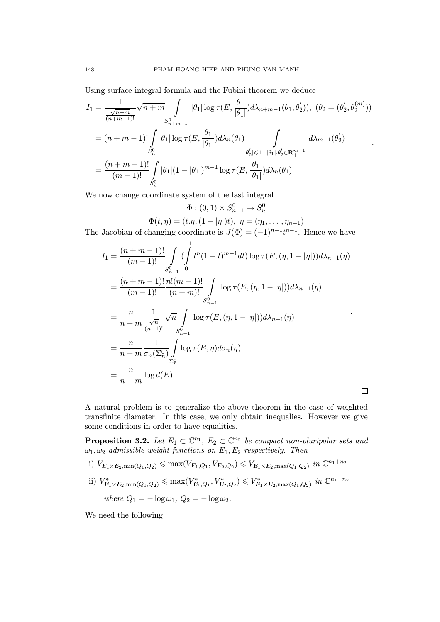Using surface integral formula and the Fubini theorem we deduce

$$
I_{1} = \frac{1}{\frac{\sqrt{n+m}}{(n+m-1)!}} \sqrt{n+m} \int_{S_{n+m-1}^{0}} |\theta_{1}| \log \tau(E, \frac{\theta_{1}}{|\theta_{1}|}) d\lambda_{n+m-1}(\theta_{1}, \theta_{2}'), (\theta_{2} = (\theta_{2}', \theta_{2}^{(m)}))
$$
  

$$
= (n+m-1)! \int_{S_{n}^{0}} |\theta_{1}| \log \tau(E, \frac{\theta_{1}}{|\theta_{1}|}) d\lambda_{n}(\theta_{1}) \int_{|\theta_{2}'| \leq 1 - |\theta_{1}|, \theta_{2}' \in \mathbf{R}_{+}^{m-1}} d\lambda_{m-1}(\theta_{2}')
$$
  

$$
= \frac{(n+m-1)!}{(m-1)!} \int_{S_{n}^{0}} |\theta_{1}| (1 - |\theta_{1}|)^{m-1} \log \tau(E, \frac{\theta_{1}}{|\theta_{1}|}) d\lambda_{n}(\theta_{1})
$$

.

 $\Box$ 

We now change coordinate system of the last integral

$$
\Phi:(0,1)\times S_{n-1}^0\to S_n^0
$$

$$
\Phi(t, \eta) = (t \cdot \eta, (1 - |\eta|)t), \ \eta = (\eta_1, \dots, \eta_{n-1})
$$

The Jacobian of changing coordinate is  $J(\Phi)=(-1)^{n-1}t^{n-1}$ . Hence we have

$$
I_{1} = \frac{(n+m-1)!}{(m-1)!} \int_{S_{n-1}^{0}} (\int_{0}^{1} t^{n} (1-t)^{m-1} dt) \log \tau(E, (\eta, 1-|\eta|)) d\lambda_{n-1}(\eta)
$$
  
\n
$$
= \frac{(n+m-1)!}{(m-1)!} \frac{n!(m-1)!}{(n+m)!} \int_{S_{n-1}^{0}} \log \tau(E, (\eta, 1-|\eta|)) d\lambda_{n-1}(\eta)
$$
  
\n
$$
= \frac{n}{n+m} \frac{1}{\frac{\sqrt{n}}{(n-1)!}} \sqrt{n} \int_{S_{n-1}^{0}} \log \tau(E, (\eta, 1-|\eta|)) d\lambda_{n-1}(\eta)
$$
  
\n
$$
= \frac{n}{n+m} \frac{1}{\sigma_{n}(\Sigma_{n}^{0})} \int_{\Sigma_{n}^{0}} \log \tau(E, \eta) d\sigma_{n}(\eta)
$$
  
\n
$$
= \frac{n}{n+m} \log d(E).
$$

A natural problem is to generalize the above theorem in the case of weighted transfinite diameter. In this case, we only obtain inequalies. However we give some conditions in order to have equalities.

**Proposition 3.2.** Let  $E_1 \subset \mathbb{C}^{n_1}$ ,  $E_2 \subset \mathbb{C}^{n_2}$  be compact non-pluripolar sets and  $\omega_1, \omega_2$  admissible weight functions on  $E_1, E_2$  respectively. Then

- i)  $V_{E_1 \times E_2, \min(Q_1, Q_2)} \le \max(V_{E_1, Q_1}, V_{E_2, Q_2}) \le V_{E_1 \times E_2, \max(Q_1, Q_2)}$  in  $\mathbb{C}^{n_1+n_2}$
- ii)  $V_{E_1 \times E_2, \min(Q_1, Q_2)}^* \le \max(V_{E_1, Q_1}^*, V_{E_2, Q_2}^*) \le V_{E_1 \times E_2, \max(Q_1, Q_2)}^*$  in  $\mathbb{C}^{n_1+n_2}$ where  $Q_1 = -\log \omega_1, Q_2 = -\log \omega_2$ .

We need the following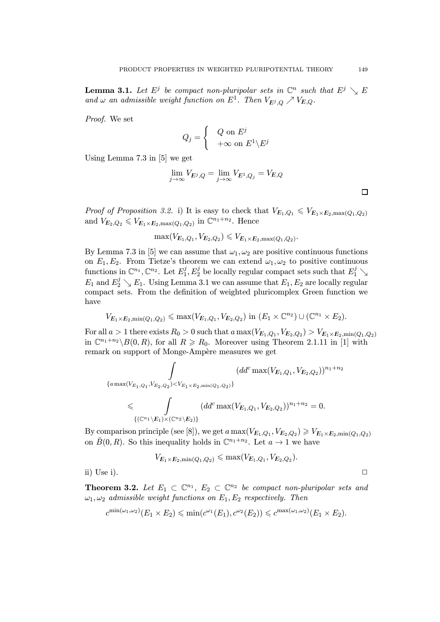**Lemma 3.1.** Let  $E^j$  be compact non-pluripolar sets in  $\mathbb{C}^n$  such that  $E^j \searrow E$ and  $\omega$  an admissible weight function on  $E^1$ . Then  $V_{E^j,Q} \nearrow V_{E,Q}$ .

Proof. We set

$$
Q_j = \begin{cases} Q \text{ on } E^j \\ +\infty \text{ on } E^1 \backslash E^j \end{cases}
$$

Using Lemma 7.3 in [5] we get

$$
\lim_{j \to \infty} V_{E^j,Q} = \lim_{j \to \infty} V_{E^1,Q_j} = V_{E,Q}
$$

*Proof of Proposition 3.2.* i) It is easy to check that  $V_{E_1,Q_1} \leqslant V_{E_1\times E_2,\max(Q_1,Q_2)}$ and  $V_{E_2,Q_2} \leqslant V_{E_1\times E_2,\max(Q_1,Q_2)}$  in  $\mathbb{C}^{n_1+n_2}$ . Hence

$$
\max(V_{E_1,Q_1},V_{E_2,Q_2}) \leq V_{E_1 \times E_2, \max(Q_1,Q_2)}.
$$

By Lemma 7.3 in [5] we can assume that  $\omega_1, \omega_2$  are positive continuous functions on  $E_1, E_2$ . From Tietze's theorem we can extend  $\omega_1, \omega_2$  to positive continuous  $\text{functions in } \mathbb{C}^{n_1}, \mathbb{C}^{n_2}. \text{ Let } E_1^j, E_2^j \text{ be locally regular compact sets such that } E_1^j \searrow$  $E_1$  and  $E_2^j \searrow E_1$ . Using Lemma 3.1 we can assume that  $E_1, E_2$  are locally regular compact sets. From the definition of weighted pluricomplex Green function we have

$$
V_{E_1 \times E_2, \min(Q_1, Q_2)} \leq \max(V_{E_1, Q_1}, V_{E_2, Q_2}) \text{ in } (E_1 \times \mathbb{C}^{n_2}) \cup (\mathbb{C}^{n_1} \times E_2).
$$

For all  $a > 1$  there exists  $R_0 > 0$  such that  $a \max(V_{E_1,Q_1}, V_{E_2,Q_2}) > V_{E_1 \times E_2, \min(Q_1,Q_2)}$ in  $\mathbb{C}^{n_1+n_2} \setminus B(0, R)$ , for all  $R \ge R_0$ . Moreover using Theorem 2.1.11 in [1] with remark on support of Monge-Ampère measures we get

$$
\int_{\{a \max(V_{E_1,Q_1}, V_{E_2,Q_2}) < V_{E_1 \times E_2, \min(Q_1,Q_2)}\}} (dd^c \max(V_{E_1,Q_1}, V_{E_2,Q_2}))^{n_1+n_2}
$$
\n
$$
\leqslant \int_{\{(\mathbb{C}^{n_1}\setminus E_1) \times (\mathbb{C}^{n_2}\setminus E_2)\}} (dd^c \max(V_{E_1,Q_1}, V_{E_2,Q_2}))^{n_1+n_2} = 0.
$$

By comparison principle (see [8]), we get a  $\max(V_{E_1,Q_1}, V_{E_2,Q_2}) \geq V_{E_1 \times E_2, \min(Q_1,Q_2)}$ on  $\bar{B}(0, R)$ . So this inequality holds in  $\mathbb{C}^{n_1+n_2}$ . Let  $a \to 1$  we have

$$
V_{E_1\times E_2,\min(Q_1,Q_2)}\leqslant \max(V_{E_1,Q_1},V_{E_2,Q_2}).
$$

ii) Use i).  $\Box$ 

**Theorem 3.2.** Let  $E_1 \subset \mathbb{C}^{n_1}$ ,  $E_2 \subset \mathbb{C}^{n_2}$  be compact non-pluripolar sets and  $\omega_1, \omega_2$  admissible weight functions on  $E_1, E_2$  respectively. Then

$$
c^{\min(\omega_1,\omega_2)}(E_1\times E_2)\leqslant \min(c^{\omega_1}(E_1),c^{\omega_2}(E_2))\leqslant c^{\max(\omega_1,\omega_2)}(E_1\times E_2).
$$

 $\Box$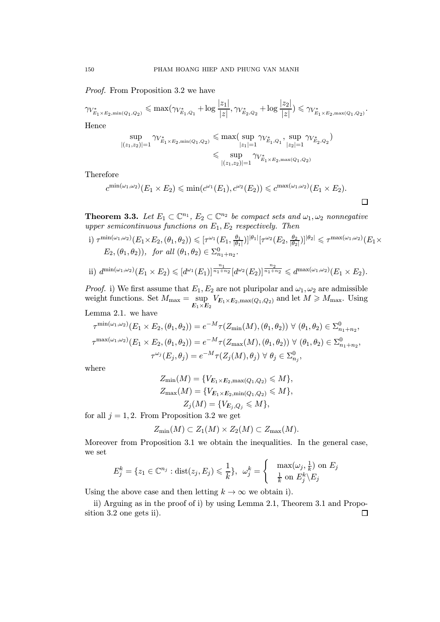Proof. From Proposition 3.2 we have

$$
\gamma_{V_{E_1\times E_2,\min(Q_1,Q_2)}^*}\leqslant \max(\gamma_{V_{E_1,Q_1}^*}+\log\frac{|z_1|}{|z|},\gamma_{V_{E_2,Q_2}^*}+\log\frac{|z_2|}{|z|})\leqslant \gamma_{V_{E_1\times E_2,\max(Q_1,Q_2)}^*}.
$$

Hence

$$
\sup_{|(z_1,z_2)|=1} \gamma_{V_{E_1\times E_2,\min(Q_1,Q_2)}^*}\leqslant \max(\sup_{|z_1|=1} \gamma_{V_{E_1,Q_1}^*}, \sup_{|z_2|=1} \gamma_{V_{E_2,Q_2}^*})\\\leqslant \sup_{|(z_1,z_2)|=1} \gamma_{V_{E_1\times E_2,\max(Q_1,Q_2)}^*}
$$

Therefore

$$
c^{\min(\omega_1,\omega_2)}(E_1\times E_2)\leqslant \min(c^{\omega_1}(E_1),c^{\omega_2}(E_2))\leqslant c^{\max(\omega_1,\omega_2)}(E_1\times E_2).
$$

 $\Box$ 

**Theorem 3.3.** Let  $E_1 \subset \mathbb{C}^{n_1}$ ,  $E_2 \subset \mathbb{C}^{n_2}$  be compact sets and  $\omega_1, \omega_2$  nonnegative upper semicontinuous functions on  $E_1, E_2$  respectively. Then

 $\text{(i)}\ \tau^{\min(\omega_1,\omega_2)}(E_1 \times E_2, (\theta_1,\theta_2)) \leqslant [\tau^{\omega_1}(E_1, \tfrac{\theta_1}{|\theta_1|})]^{|\theta_1|}[\tau^{\omega_2}(E_2, \tfrac{\theta_2}{|\theta_2|})]^{|\theta_2|} \leqslant \tau^{\max(\omega_1,\omega_2)}(E_1 \times E_2, \tfrac{\theta_2}{|\theta_2|})^{|\theta_2|}$  $E_2, (\theta_1, \theta_2)$ , for all  $(\theta_1, \theta_2) \in \Sigma^0_{n_1+n_2}$ .

ii) 
$$
d^{\min(\omega_1,\omega_2)}(E_1 \times E_2) \leq d^{\omega_1}(E_1)^{\frac{n_1}{n_1+n_2}}[d^{\omega_2}(E_2)]^{\frac{n_2}{n_1+n_2}} \leq d^{\max(\omega_1,\omega_2)}(E_1 \times E_2).
$$

*Proof.* i) We first assume that  $E_1, E_2$  are not pluripolar and  $\omega_1, \omega_2$  are admissible weight functions. Set  $M_{\text{max}} = \text{sup}$  $\sup_{E_1 \times E_2} V_{E_1 \times E_2, \max(Q_1, Q_2)}$  and let  $M \geq M_{\max}$ . Using

Lemma 2.1. we have

$$
\tau^{\min(\omega_1, \omega_2)}(E_1 \times E_2, (\theta_1, \theta_2)) = e^{-M} \tau(Z_{\min}(M), (\theta_1, \theta_2)) \ \forall \ (\theta_1, \theta_2) \in \Sigma^0_{n_1 + n_2},
$$
  

$$
\tau^{\max(\omega_1, \omega_2)}(E_1 \times E_2, (\theta_1, \theta_2)) = e^{-M} \tau(Z_{\max}(M), (\theta_1, \theta_2)) \ \forall \ (\theta_1, \theta_2) \in \Sigma^0_{n_1 + n_2},
$$
  

$$
\tau^{\omega_j}(E_j, \theta_j) = e^{-M} \tau(Z_j(M), \theta_j) \ \forall \ \theta_j \in \Sigma^0_{n_j},
$$

where

$$
Z_{\min}(M) = \{V_{E_1 \times E_2, \max(Q_1, Q_2)} \leq M\},
$$
  
\n
$$
Z_{\max}(M) = \{V_{E_1 \times E_2, \min(Q_1, Q_2)} \leq M\},
$$
  
\n
$$
Z_j(M) = \{V_{E_j, Q_j} \leq M\},
$$

for all  $j = 1, 2$ . From Proposition 3.2 we get

$$
Z_{\min}(M) \subset Z_1(M) \times Z_2(M) \subset Z_{\max}(M).
$$

Moreover from Proposition 3.1 we obtain the inequalities. In the general case, we set

$$
E_j^k = \{ z_1 \in \mathbb{C}^{n_j} : \text{dist}(z_j, E_j) \leqslant \frac{1}{k} \}, \ \ \omega_j^k = \begin{cases} \quad \max(\omega_j, \frac{1}{k}) \text{ on } E_j \\ \quad \frac{1}{k} \text{ on } E_j^k \setminus E_j \end{cases}
$$

Using the above case and then letting  $k \to \infty$  we obtain i).

ii) Arguing as in the proof of i) by using Lemma 2.1, Theorem 3.1 and Proposition 3.2 one gets ii). $\Box$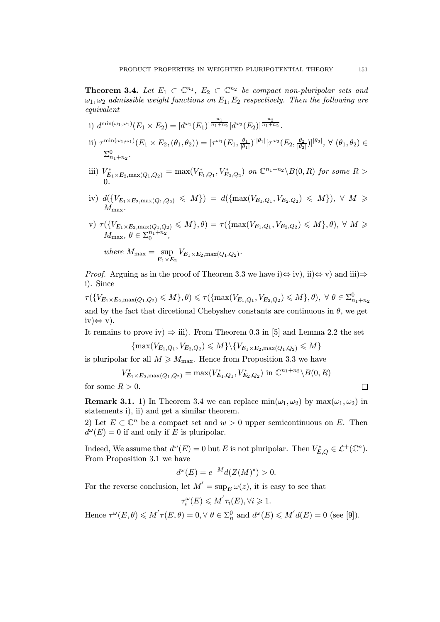**Theorem 3.4.** Let  $E_1 \subset \mathbb{C}^{n_1}$ ,  $E_2 \subset \mathbb{C}^{n_2}$  be compact non-pluripolar sets and  $\omega_1, \omega_2$  admissible weight functions on  $E_1, E_2$  respectively. Then the following are equivalent

- i)  $d^{\min(\omega_1,\omega_1)}(E_1\times E_2)=[d^{\omega_1}(E_1)]^{\frac{n_1}{n_1+n_2}}[d^{\omega_2}(E_2)]^{\frac{n_2}{n_1+n_2}}.$
- ii)  $\tau^{\min(\omega_1,\omega_1)}(E_1 \times E_2, (\theta_1,\theta_2)) = [\tau^{\omega_1}(E_1, \frac{\theta_1}{|\theta_1|})]^{|\theta_1|}[\tau^{\omega_2}(E_2, \frac{\theta_2}{|\theta_2|})]^{|\theta_2|}, \ \forall \ (\theta_1,\theta_2) \in$  $\Sigma_{n_1+n_2}^0$ .
- iii)  $V_{E_1\times E_2, \max(Q_1, Q_2)}^* = \max(V_{E_1, Q_1}^*, V_{E_2, Q_2}^*)$  on  $\mathbb{C}^{n_1+n_2}\backslash B(0, R)$  for some  $R >$ 0.
- iv)  $d({V_{E_1\times E_2,\max(Q_1,Q_2)}} \leqslant M) = d({\max(V_{E_1,Q_1},V_{E_2,Q_2}) \leqslant M}), \forall M \geqslant$  $M_{\rm max}$ .
- $\forall v \in V \ \tau(\{V_{E_{1}\times E_{2},\max(Q_{1},Q_{2})}\leqslant M\},\theta)=\tau(\{\max(V_{E_{1},Q_{1}},V_{E_{2},Q_{2}})\leqslant M\},\theta),\ \forall\ M\geqslant 0$  $M_{\text{max}}, \theta \in \Sigma_0^{n_1+n_2},$

where 
$$
M_{\text{max}} = \sup_{E_1 \times E_2} V_{E_1 \times E_2, \text{max}(Q_1, Q_2)}
$$
.

*Proof.* Arguing as in the proof of Theorem 3.3 we have i) $\Leftrightarrow$  iv), ii) $\Leftrightarrow$  v) and iii) $\Rightarrow$ i). Since

 $\tau(\{V_{E_1\times E_2, \max(Q_1,Q_2)}\leqslant M\},\theta)\leqslant \tau(\{\max(V_{E_1,Q_1}, V_{E_2,Q_2})\leqslant M\},\theta),\,\,\forall\,\,\theta\in\Sigma^0_{n_1+n_2}$ and by the fact that directional Chebyshev constants are continuous in  $\theta$ , we get  $iv \leftrightarrow v$ ).

It remains to prove iv)  $\Rightarrow$  iii). From Theorem 0.3 in [5] and Lemma 2.2 the set

$$
\{\max(V_{E_1,Q_1},V_{E_2,Q_2})\leqslant M\}\setminus\{V_{E_1\times E_2,\max(Q_1,Q_2)}\leqslant M\}
$$

is pluripolar for all  $M \geq M_{\text{max}}$ . Hence from Proposition 3.3 we have

$$
V_{E_1 \times E_2, \max(Q_1, Q_2)}^* = \max(V_{E_1, Q_1}^*, V_{E_2, Q_2}^*) \text{ in } \mathbb{C}^{n_1 + n_2} \backslash B(0, R)
$$

for some  $R > 0$ .

**Remark 3.1.** 1) In Theorem 3.4 we can replace  $min(\omega_1, \omega_2)$  by  $max(\omega_1, \omega_2)$  in statements i), ii) and get a similar theorem.

2) Let  $E \subset \mathbb{C}^n$  be a compact set and  $w > 0$  upper semicontinuous on E. Then  $d^{\omega}(E) = 0$  if and only if E is pluripolar.

Indeed, We assume that  $d^{\omega}(E) = 0$  but E is not pluripolar. Then  $V_{E,Q}^* \in \mathcal{L}^+(\mathbb{C}^n)$ . From Proposition 3.1 we have

$$
d^{\omega}(E) = e^{-M}d(Z(M)^*) > 0.
$$

For the reverse conclusion, let  $M' = \sup_E \omega(z)$ , it is easy to see that

$$
\tau_i^{\omega}(E) \leqslant M' \tau_i(E), \forall i \geqslant 1.
$$

Hence  $\tau^{\omega}(E, \theta) \leq M' \tau(E, \theta) = 0, \forall \ \theta \in \Sigma_n^0$  and  $d^{\omega}(E) \leq M' d(E) = 0$  (see [9]).

$$
\Box
$$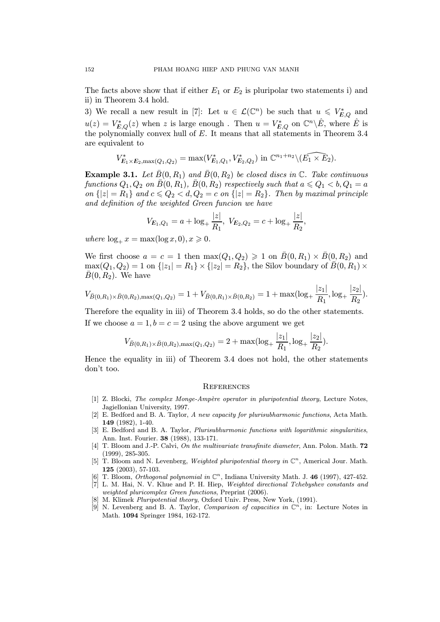The facts above show that if either  $E_1$  or  $E_2$  is pluripolar two statements i) and ii) in Theorem 3.4 hold.

3) We recall a new result in [7]: Let  $u \in \mathcal{L}(\mathbb{C}^n)$  be such that  $u \leqslant V_{E,Q}^*$  and  $u(z) = V_{E,Q}^*(z)$  when z is large enough. Then  $u = V_{E,Q}^*$  on  $\mathbb{C}^n \backslash \hat{E}$ , where  $\hat{E}$  is the polynomially convex hull of  $E$ . It means that all statements in Theorem 3.4 are equivalent to

$$
V_{E_1 \times E_2, \max(Q_1, Q_2)}^* = \max(V_{E_1, Q_1}^*, V_{E_2, Q_2}^*) \text{ in } \mathbb{C}^{n_1 + n_2} \setminus (\widehat{E_1 \times E_2}).
$$

**Example 3.1.** Let  $\bar{B}(0, R_1)$  and  $\bar{B}(0, R_2)$  be closed discs in  $\mathbb{C}$ . Take continuous functions  $Q_1, Q_2$  on  $\bar{B}(0, R_1), \bar{B}(0, R_2)$  respectively such that  $a \leqslant Q_1 < b, Q_1 = a$ on  $\{|z|=R_1\}$  and  $c \leqslant Q_2 < d, Q_2 = c$  on  $\{|z|=R_2\}$ . Then by maximal principle and definition of the weighted Green funcion we have

$$
V_{E_1,Q_1} = a + \log_+ \frac{|z|}{R_1}, \ V_{E_2,Q_2} = c + \log_+ \frac{|z|}{R_2},
$$

where  $\log_+ x = \max(\log x, 0), x \geq 0.$ 

We first choose  $a = c = 1$  then  $\max(Q_1, Q_2) \geq 1$  on  $\overline{B}(0, R_1) \times \overline{B}(0, R_2)$  and  $\max(Q_1, Q_2) = 1$  on  $\{|z_1| = R_1\} \times \{|z_2| = R_2\}$ , the Silov boundary of  $\bar{B}(0, R_1) \times$  $B(0, R_2)$ . We have

$$
V_{\bar{B}(0,R_1)\times\bar{B}(0,R_2),\max(Q_1,Q_2)}=1+V_{\bar{B}(0,R_1)\times\bar{B}(0,R_2)}=1+\max(\log_+\frac{|z_1|}{R_1},\log_+\frac{|z_2|}{R_2}).
$$

Therefore the equality in iii) of Theorem 3.4 holds, so do the other statements. If we choose  $a = 1, b = c = 2$  using the above argument we get

$$
V_{\bar{B}(0,R_1)\times\bar{B}(0,R_2),\max(Q_1,Q_2)}=2+\max(\log_+\frac{|z_1|}{R_1},\log_+\frac{|z_2|}{R_2}).
$$

Hence the equality in iii) of Theorem 3.4 does not hold, the other statements don't too.

#### **REFERENCES**

- [1] Z. Blocki, The complex Monge-Ampère operator in pluripotential theory, Lecture Notes, Jagiellonian University, 1997.
- [2] E. Bedford and B. A. Taylor, A new capacity for plurisubharmonic functions, Acta Math. 149 (1982), 1-40.
- [3] E. Bedford and B. A. Taylor, Plurisubhurmonic functions with logarithmic singularities, Ann. Inst. Fourier. 38 (1988), 133-171.
- [4] T. Bloom and J.-P. Calvi, On the multivariate transfinite diameter, Ann. Polon. Math. **72** (1999), 285-305.
- [5] T. Bloom and N. Levenberg, Weighted pluripotential theory in  $\mathbb{C}^n$ , Americal Jour. Math. 125 (2003), 57-103.
- [6] T. Bloom, *Orthogonal polynomial in*  $\mathbb{C}^n$ , Indiana University Math. J. 46 (1997), 427-452.
- [7] L. M. Hai, N. V. Khue and P. H. Hiep, Weighted directional Tchebyshev constants and weighted pluricomplex Green functions, Preprint (2006).
- [8] M. Klimek Pluripotential theory, Oxford Univ. Press, New York, (1991).
- [9] N. Levenberg and B. A. Taylor, Comparison of capacities in  $\mathbb{C}^n$ , in: Lecture Notes in Math. 1094 Springer 1984, 162-172.